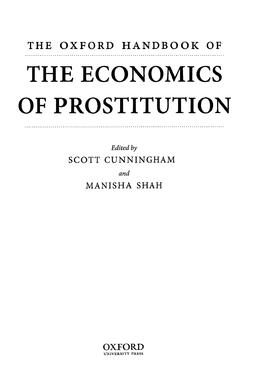## THE OXFORD HANDBOOK OF THE ECONOMICS OF PROSTITUTION

*Edited by*  SCOTT CUNNINGHAM

*and* 

MANISHA SHAH

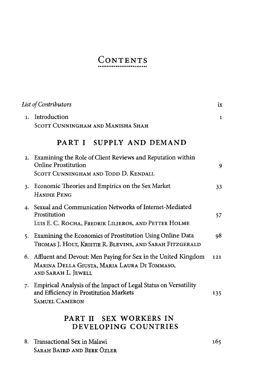## CONTENTS

| List of Contributors |                                                                                                                                      | ix           |
|----------------------|--------------------------------------------------------------------------------------------------------------------------------------|--------------|
| 1.                   | Introduction<br>SCOTT CUNNINGHAM AND MANISHA SHAH                                                                                    | $\mathbf{1}$ |
|                      | PART I SUPPLY AND DEMAND                                                                                                             |              |
| 2.                   | Examining the Role of Client Reviews and Reputation within<br><b>Online Prostitution</b><br>SCOTT CUNNINGHAM AND TODD D. KENDALL     | 9            |
| 3.                   | Economic Theories and Empirics on the Sex Market<br><b>HANDIE PENG</b>                                                               | 33           |
|                      | 4. Sexual and Communication Networks of Internet-Mediated<br>Prostitution<br>LUIS E. C. ROCHA, FREDRIK LILJEROS, AND PETTER HOLME    | 57           |
| 5.                   | Examining the Economics of Prostitution Using Online Data<br>THOMAS J. HOLT, KRISTIE R. BLEVINS, AND SARAH FITZGERALD                | 98           |
| 6.                   | Affluent and Devout: Men Paying for Sex in the United Kingdom<br>MARINA DELLA GIUSTA, MARIA LAURA DI TOMMASO,<br>AND SARAH L. JEWELL | 121          |
| 7.                   | Empirical Analysis of the Impact of Legal Status on Versatility<br>and Efficiency in Prostitution Markets<br><b>SAMUEL CAMERON</b>   | 135          |
|                      | PART II SEX WORKERS IN<br>DEVELOPING COUNTRIES                                                                                       |              |
| 8.                   | Transactional Sex in Malawi<br>SARAH BAIRD AND BERK ÖZLER                                                                            | 165          |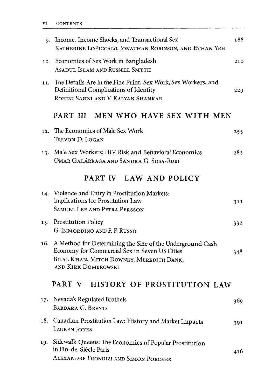| 9.  | Income, Income Shocks, and Transactional Sex<br>KATHERINE LOPICCALO, JONATHAN ROBINSON, AND ETHAN YEH                                                                                | 188 |
|-----|--------------------------------------------------------------------------------------------------------------------------------------------------------------------------------------|-----|
| 10. | Economics of Sex Work in Bangladesh<br>ASADUL ISLAM AND RUSSELL SMYTH                                                                                                                | 210 |
| 11. | The Details Are in the Fine Print: Sex Work, Sex Workers, and<br>Definitional Complications of Identity<br>ROHINI SAHNI AND V. KALYAN SHANKAR                                        | 229 |
|     | PART III MEN WHO HAVE SEX WITH MEN                                                                                                                                                   |     |
| 12. | The Economics of Male Sex Work<br>TREVON D. LOGAN                                                                                                                                    | 255 |
| 13. | Male Sex Workers: HIV Risk and Behavioral Economics<br>OMAR GALÁRRAGA AND SANDRA G. SOSA-RUBÍ                                                                                        | 282 |
|     | PART IV LAW AND POLICY                                                                                                                                                               |     |
| 14. | Violence and Entry in Prostitution Markets:<br>Implications for Prostitution Law<br><b>SAMUEL LEE AND PETRA PERSSON</b>                                                              | 311 |
| 15. | <b>Prostitution Policy</b><br>G. IMMORDINO AND F. F. RUSSO                                                                                                                           | 332 |
| 16. | A Method for Determining the Size of the Underground Cash<br>Economy for Commercial Sex in Seven US Cities<br>BILAL KHAN, MITCH DOWNEY, MEREDITH DANK,<br><b>AND KIRK DOMBROWSKI</b> | 348 |
|     | PART V HISTORY OF PROSTITUTION LAW                                                                                                                                                   |     |
| 17. | Nevada's Regulated Brothels<br><b>BARBARA G. BRENTS</b>                                                                                                                              | 369 |
| 18. | Canadian Prostitution Law: History and Market Impacts<br>LAUREN JONES                                                                                                                | 391 |
| 19. | Sidewalk Queens: The Economics of Popular Prostitution<br>in Fin-de-Siècle Paris<br>ALEXANDRE FRONDIZI AND SIMON PORCHER                                                             | 416 |